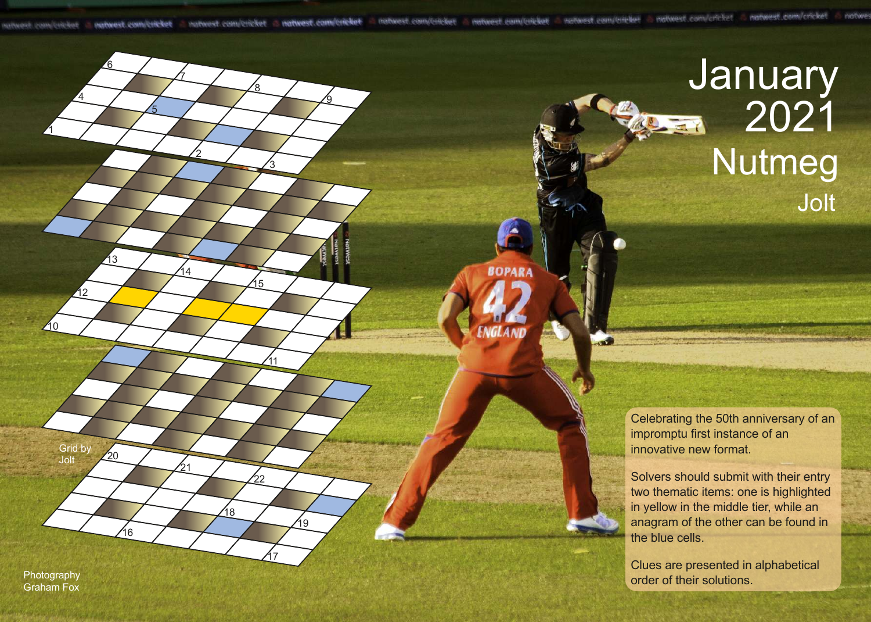**BOPARA** 

الأوس

<u>ର</u>

## January 2021 Nutmeg Jolt

Celebrating the 50th anniversary of an impromptu first instance of an innovative new format.

Solvers should submit with their entry two thematic items: one is highlighted in yellow in the middle tier, while an anagram of the other can be found in the blue cells.

Clues are presented in alphabetical Photography **order of their solutions.** Photography

Grid by Jolt

16

20

1

210

12

13

4

6

2

 $\overline{A}$ 

21

11

17

19

22

18

15

3

<u>8</u>

7

5

Graham Fox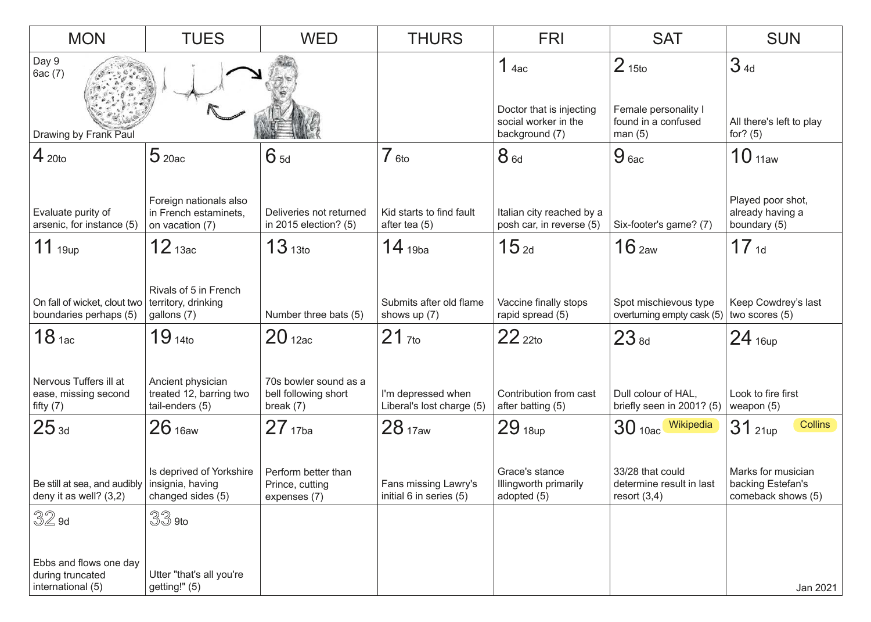| <b>MON</b>                                                                  | <b>TUES</b>                                                               | <b>WED</b>                                                   | <b>THURS</b>                                        | <b>FRI</b>                                                                             | <b>SAT</b>                                                                 | <b>SUN</b>                                                    |
|-----------------------------------------------------------------------------|---------------------------------------------------------------------------|--------------------------------------------------------------|-----------------------------------------------------|----------------------------------------------------------------------------------------|----------------------------------------------------------------------------|---------------------------------------------------------------|
| Day 9<br>6ac (7)<br>Drawing by Frank Paul                                   |                                                                           |                                                              |                                                     | 1 <sub>4ac</sub><br>Doctor that is injecting<br>social worker in the<br>background (7) | 2 <sub>15to</sub><br>Female personality I<br>found in a confused<br>man(5) | 34d<br>All there's left to play<br>for? $(5)$                 |
| $4_{\text{ 20to}}$                                                          | 520ac                                                                     | $6_{5d}$                                                     | $7_{6t0}$                                           | 8 <sub>6d</sub>                                                                        | 9 <sub>6ac</sub>                                                           | 10 <sub>11aw</sub>                                            |
| Evaluate purity of<br>arsenic, for instance (5)                             | Foreign nationals also<br>in French estaminets,<br>on vacation (7)        | Deliveries not returned<br>in 2015 election? (5)             | Kid starts to find fault<br>after tea (5)           | Italian city reached by a<br>posh car, in reverse (5)                                  | Six-footer's game? (7)                                                     | Played poor shot,<br>already having a<br>boundary (5)         |
| $11$ 19up                                                                   | 12 <sub>13ac</sub>                                                        | 13 <sub>13to</sub>                                           | $14_{19ba}$                                         | 15 <sub>2d</sub>                                                                       | 16 <sub>2aw</sub>                                                          | 17 <sub>1d</sub>                                              |
| On fall of wicket, clout two<br>boundaries perhaps (5)<br>18 <sub>1ac</sub> | Rivals of 5 in French<br>territory, drinking<br>gallons (7)<br>$19_{140}$ | Number three bats (5)<br>20 <sub>12ac</sub>                  | Submits after old flame<br>shows up (7)<br>$21$ 7to | Vaccine finally stops<br>rapid spread (5)<br>$22$ 22to                                 | Spot mischievous type<br>overturning empty cask (5)<br>23 <sub>8d</sub>    | Keep Cowdrey's last<br>two scores (5)<br>$24$ 16up            |
| Nervous Tuffers ill at<br>ease, missing second<br>fifty $(7)$               | Ancient physician<br>treated 12, barring two<br>tail-enders (5)           | 70s bowler sound as a<br>bell following short<br>break $(7)$ | I'm depressed when<br>Liberal's lost charge (5)     | Contribution from cast<br>after batting (5)                                            | Dull colour of HAL,<br>briefly seen in 2001? (5)                           | Look to fire first<br>weapon $(5)$                            |
| 25a                                                                         | 26 <sub>16aw</sub>                                                        | $27_{17ba}$                                                  | 28 <sub>17aw</sub>                                  | 29 <sub>18up</sub>                                                                     | 30 10ac Wikipedia                                                          | <b>Collins</b><br>$31$ 21up                                   |
| Be still at sea, and audibly   insignia, having<br>deny it as well? $(3,2)$ | Is deprived of Yorkshire<br>changed sides (5)                             | Perform better than<br>Prince, cutting<br>expenses (7)       | Fans missing Lawry's<br>initial 6 in series (5)     | Grace's stance<br>Illingworth primarily<br>adopted (5)                                 | 33/28 that could<br>determine result in last<br>resort $(3,4)$             | Marks for musician<br>backing Estefan's<br>comeback shows (5) |
| $32$ 9d                                                                     | $33$ 9to                                                                  |                                                              |                                                     |                                                                                        |                                                                            |                                                               |
| Ebbs and flows one day<br>during truncated<br>international (5)             | Utter "that's all you're<br>getting!" (5)                                 |                                                              |                                                     |                                                                                        |                                                                            | Jan 2021                                                      |